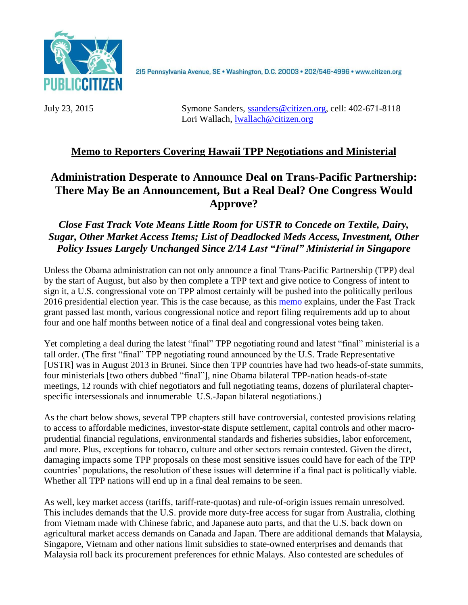

215 Pennsylvania Avenue, SE · Washington, D.C. 20003 · 202/546-4996 · www.citizen.org

July 23, 2015 Symone Sanders, [ssanders@citizen.org,](mailto:ssanders@citizen.org) cell: [402-671-8118](tel:402-671-8118) Lori Wallach, [lwallach@citizen.org](mailto:lwallach@citizen.org)

## **Memo to Reporters Covering Hawaii TPP Negotiations and Ministerial**

# **Administration Desperate to Announce Deal on Trans-Pacific Partnership: There May Be an Announcement, But a Real Deal? One Congress Would Approve?**

*Close Fast Track Vote Means Little Room for USTR to Concede on Textile, Dairy, Sugar, Other Market Access Items; List of Deadlocked Meds Access, Investment, Other Policy Issues Largely Unchanged Since 2/14 Last "Final" Ministerial in Singapore*

Unless the Obama administration can not only announce a final Trans-Pacific Partnership (TPP) deal by the start of August, but also by then complete a TPP text and give notice to Congress of intent to sign it, a U.S. congressional vote on TPP almost certainly will be pushed into the politically perilous 2016 presidential election year. This is the case because, as this [memo](http://www.citizen.org/documents/TPP-vote-calendar.pdf) explains, under the Fast Track grant passed last month, various congressional notice and report filing requirements add up to about four and one half months between notice of a final deal and congressional votes being taken.

Yet completing a deal during the latest "final" TPP negotiating round and latest "final" ministerial is a tall order. (The first "final" TPP negotiating round announced by the U.S. Trade Representative [USTR] was in August 2013 in Brunei. Since then TPP countries have had two heads-of-state summits, four ministerials [two others dubbed "final"], nine Obama bilateral TPP-nation heads-of-state meetings, 12 rounds with chief negotiators and full negotiating teams, dozens of plurilateral chapterspecific intersessionals and innumerable U.S.-Japan bilateral negotiations.)

As the chart below shows, several TPP chapters still have controversial, contested provisions relating to access to affordable medicines, investor-state dispute settlement, capital controls and other macroprudential financial regulations, environmental standards and fisheries subsidies, labor enforcement, and more. Plus, exceptions for tobacco, culture and other sectors remain contested. Given the direct, damaging impacts some TPP proposals on these most sensitive issues could have for each of the TPP countries' populations, the resolution of these issues will determine if a final pact is politically viable. Whether all TPP nations will end up in a final deal remains to be seen.

As well, key market access (tariffs, tariff-rate-quotas) and rule-of-origin issues remain unresolved. This includes demands that the U.S. provide more duty-free access for sugar from Australia, clothing from Vietnam made with Chinese fabric, and Japanese auto parts, and that the U.S. back down on agricultural market access demands on Canada and Japan. There are additional demands that Malaysia, Singapore, Vietnam and other nations limit subsidies to state-owned enterprises and demands that Malaysia roll back its procurement preferences for ethnic Malays. Also contested are schedules of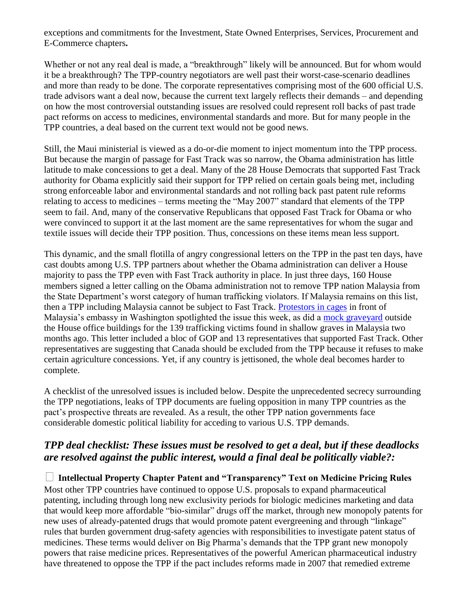exceptions and commitments for the Investment, State Owned Enterprises, Services, Procurement and E-Commerce chapters**.** 

Whether or not any real deal is made, a "breakthrough" likely will be announced. But for whom would it be a breakthrough? The TPP-country negotiators are well past their worst-case-scenario deadlines and more than ready to be done. The corporate representatives comprising most of the 600 official U.S. trade advisors want a deal now, because the current text largely reflects their demands – and depending on how the most controversial outstanding issues are resolved could represent roll backs of past trade pact reforms on access to medicines, environmental standards and more. But for many people in the TPP countries, a deal based on the current text would not be good news.

Still, the Maui ministerial is viewed as a do-or-die moment to inject momentum into the TPP process. But because the margin of passage for Fast Track was so narrow, the Obama administration has little latitude to make concessions to get a deal. Many of the 28 House Democrats that supported Fast Track authority for Obama explicitly said their support for TPP relied on certain goals being met, including strong enforceable labor and environmental standards and not rolling back past patent rule reforms relating to access to medicines – terms meeting the "May 2007" standard that elements of the TPP seem to fail. And, many of the conservative Republicans that opposed Fast Track for Obama or who were convinced to support it at the last moment are the same representatives for whom the sugar and textile issues will decide their TPP position. Thus, concessions on these items mean less support.

This dynamic, and the small flotilla of angry congressional letters on the TPP in the past ten days, have cast doubts among U.S. TPP partners about whether the Obama administration can deliver a House majority to pass the TPP even with Fast Track authority in place. In just three days, 160 House members signed a letter calling on the Obama administration not to remove TPP nation Malaysia from the State Department's worst category of human trafficking violators. If Malaysia remains on this list, then a TPP including Malaysia cannot be subject to Fast Track. [Protestors in cages](https://twitter.com/PCGTW/status/623882821711609856) in front of Malaysia's embassy in Washington spotlighted the issue this week, as did a [mock graveyard](https://twitter.com/ExposeTPP/status/624234068314583040) outside the House office buildings for the 139 trafficking victims found in shallow graves in Malaysia two months ago. This letter included a bloc of GOP and 13 representatives that supported Fast Track. Other representatives are suggesting that Canada should be excluded from the TPP because it refuses to make certain agriculture concessions. Yet, if any country is jettisoned, the whole deal becomes harder to complete.

A checklist of the unresolved issues is included below. Despite the unprecedented secrecy surrounding the TPP negotiations, leaks of TPP documents are fueling opposition in many TPP countries as the pact's prospective threats are revealed. As a result, the other TPP nation governments face considerable domestic political liability for acceding to various U.S. TPP demands.

## *TPP deal checklist: These issues must be resolved to get a deal, but if these deadlocks are resolved against the public interest, would a final deal be politically viable?:*

**Intellectual Property Chapter Patent and "Transparency" Text on Medicine Pricing Rules**  Most other TPP countries have continued to oppose U.S. proposals to expand pharmaceutical patenting, including through long new exclusivity periods for biologic medicines marketing and data that would keep more affordable "bio-similar" drugs off the market, through new monopoly patents for new uses of already-patented drugs that would promote patent evergreening and through "linkage" rules that burden government drug-safety agencies with responsibilities to investigate patent status of medicines. These terms would deliver on Big Pharma's demands that the TPP grant new monopoly powers that raise medicine prices. Representatives of the powerful American pharmaceutical industry have threatened to oppose the TPP if the pact includes reforms made in 2007 that remedied extreme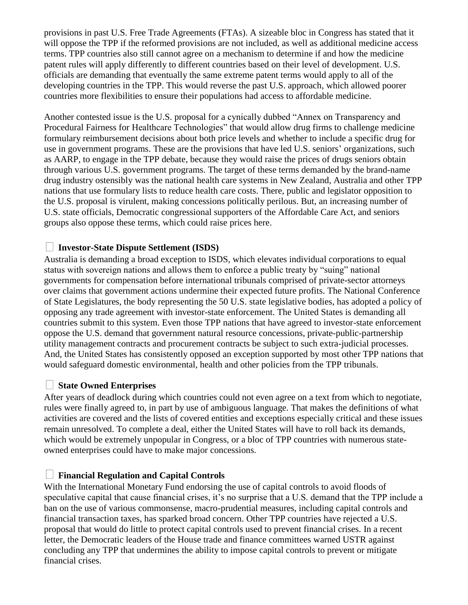provisions in past U.S. Free Trade Agreements (FTAs). A sizeable bloc in Congress has stated that it will oppose the TPP if the reformed provisions are not included, as well as additional medicine access terms. TPP countries also still cannot agree on a mechanism to determine if and how the medicine patent rules will apply differently to different countries based on their level of development. U.S. officials are demanding that eventually the same extreme patent terms would apply to all of the developing countries in the TPP. This would reverse the past U.S. approach, which allowed poorer countries more flexibilities to ensure their populations had access to affordable medicine.

Another contested issue is the U.S. proposal for a cynically dubbed "Annex on Transparency and Procedural Fairness for Healthcare Technologies" that would allow drug firms to challenge medicine formulary reimbursement decisions about both price levels and whether to include a specific drug for use in government programs. These are the provisions that have led U.S. seniors' organizations, such as AARP, to engage in the TPP debate, because they would raise the prices of drugs seniors obtain through various U.S. government programs. The target of these terms demanded by the brand-name drug industry ostensibly was the national health care systems in New Zealand, Australia and other TPP nations that use formulary lists to reduce health care costs. There, public and legislator opposition to the U.S. proposal is virulent, making concessions politically perilous. But, an increasing number of U.S. state officials, Democratic congressional supporters of the Affordable Care Act, and seniors groups also oppose these terms, which could raise prices here.

## **Investor-State Dispute Settlement (ISDS)**

Australia is demanding a broad exception to ISDS, which elevates individual corporations to equal status with sovereign nations and allows them to enforce a public treaty by "suing" national governments for compensation before international tribunals comprised of private-sector attorneys over claims that government actions undermine their expected future profits. The National Conference of State Legislatures, the body representing the 50 U.S. state legislative bodies, has adopted a policy of opposing any trade agreement with investor-state enforcement. The United States is demanding all countries submit to this system. Even those TPP nations that have agreed to investor-state enforcement oppose the U.S. demand that government natural resource concessions, private-public-partnership utility management contracts and procurement contracts be subject to such extra-judicial processes. And, the United States has consistently opposed an exception supported by most other TPP nations that would safeguard domestic environmental, health and other policies from the TPP tribunals.

### **State Owned Enterprises**

After years of deadlock during which countries could not even agree on a text from which to negotiate, rules were finally agreed to, in part by use of ambiguous language. That makes the definitions of what activities are covered and the lists of covered entities and exceptions especially critical and these issues remain unresolved. To complete a deal, either the United States will have to roll back its demands, which would be extremely unpopular in Congress, or a bloc of TPP countries with numerous stateowned enterprises could have to make major concessions.

### **Financial Regulation and Capital Controls**

With the International Monetary Fund endorsing the use of capital controls to avoid floods of speculative capital that cause financial crises, it's no surprise that a U.S. demand that the TPP include a ban on the use of various commonsense, macro-prudential measures, including capital controls and financial transaction taxes, has sparked broad concern. Other TPP countries have rejected a U.S. proposal that would do little to protect capital controls used to prevent financial crises. In a recent letter, the Democratic leaders of the House trade and finance committees warned USTR against concluding any TPP that undermines the ability to impose capital controls to prevent or mitigate financial crises.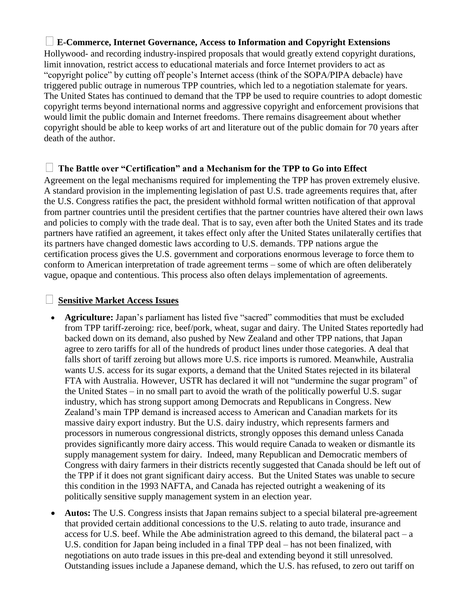## **E-Commerce, Internet Governance, Access to Information and Copyright Extensions**

Hollywood- and recording industry-inspired proposals that would greatly extend copyright durations, limit innovation, restrict access to educational materials and force Internet providers to act as "copyright police" by cutting off people's Internet access (think of the SOPA/PIPA debacle) have triggered public outrage in numerous TPP countries, which led to a negotiation stalemate for years. The United States has continued to demand that the TPP be used to require countries to adopt domestic copyright terms beyond international norms and aggressive copyright and enforcement provisions that would limit the public domain and Internet freedoms. There remains disagreement about whether copyright should be able to keep works of art and literature out of the public domain for 70 years after death of the author.

### **The Battle over "Certification" and a Mechanism for the TPP to Go into Effect**

Agreement on the legal mechanisms required for implementing the TPP has proven extremely elusive. A standard provision in the implementing legislation of past U.S. trade agreements requires that, after the U.S. Congress ratifies the pact, the president withhold formal written notification of that approval from partner countries until the president certifies that the partner countries have altered their own laws and policies to comply with the trade deal. That is to say, even after both the United States and its trade partners have ratified an agreement, it takes effect only after the United States unilaterally certifies that its partners have changed domestic laws according to U.S. demands. TPP nations argue the certification process gives the U.S. government and corporations enormous leverage to force them to conform to American interpretation of trade agreement terms – some of which are often deliberately vague, opaque and contentious. This process also often delays implementation of agreements.

#### **Sensitive Market Access Issues**

- **Agriculture:** Japan's parliament has listed five "sacred" commodities that must be excluded from TPP tariff-zeroing: rice, beef/pork, wheat, sugar and dairy. The United States reportedly had backed down on its demand, also pushed by New Zealand and other TPP nations, that Japan agree to zero tariffs for all of the hundreds of product lines under those categories. A deal that falls short of tariff zeroing but allows more U.S. rice imports is rumored. Meanwhile, Australia wants U.S. access for its sugar exports, a demand that the United States rejected in its bilateral FTA with Australia. However, USTR has declared it will not "undermine the sugar program" of the United States – in no small part to avoid the wrath of the politically powerful U.S. sugar industry, which has strong support among Democrats and Republicans in Congress. New Zealand's main TPP demand is increased access to American and Canadian markets for its massive dairy export industry. But the U.S. dairy industry, which represents farmers and processors in numerous congressional districts, strongly opposes this demand unless Canada provides significantly more dairy access. This would require Canada to weaken or dismantle its supply management system for dairy. Indeed, many Republican and Democratic members of Congress with dairy farmers in their districts recently suggested that Canada should be left out of the TPP if it does not grant significant dairy access. But the United States was unable to secure this condition in the 1993 NAFTA, and Canada has rejected outright a weakening of its politically sensitive supply management system in an election year.
- **Autos:** The U.S. Congress insists that Japan remains subject to a special bilateral pre-agreement that provided certain additional concessions to the U.S. relating to auto trade, insurance and access for U.S. beef. While the Abe administration agreed to this demand, the bilateral pact – a U.S. condition for Japan being included in a final TPP deal – has not been finalized, with negotiations on auto trade issues in this pre-deal and extending beyond it still unresolved. Outstanding issues include a Japanese demand, which the U.S. has refused, to zero out tariff on